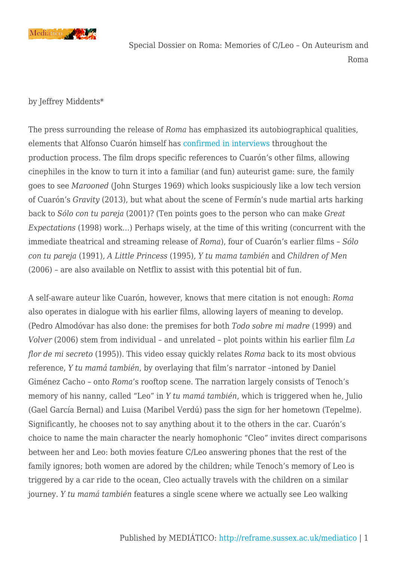

Special Dossier on Roma: Memories of C/Leo – On Auteurism and Roma

by Jeffrey Middents\*

The press surrounding the release of *Roma* has emphasized its autobiographical qualities, elements that Alfonso Cuarón himself has [confirmed in interviews](https://variety.com/2018/film/news/roma-alfonso-cuaron-netflix-libo-rodriguez-1202988695/) throughout the production process. The film drops specific references to Cuarón's other films, allowing cinephiles in the know to turn it into a familiar (and fun) auteurist game: sure, the family goes to see *Marooned* (John Sturges 1969) which looks suspiciously like a low tech version of Cuarón's *Gravity* (2013), but what about the scene of Fermín's nude martial arts harking back to *Sólo con tu pareja* (2001)? (Ten points goes to the person who can make *Great Expectations* (1998) work…) Perhaps wisely, at the time of this writing (concurrent with the immediate theatrical and streaming release of *Roma*), four of Cuarón's earlier films – *Sólo con tu pareja* (1991)*, A Little Princess* (1995)*, Y tu mama también* and *Children of Men* (2006) – are also available on Netflix to assist with this potential bit of fun.

A self-aware auteur like Cuarón, however, knows that mere citation is not enough: *Roma* also operates in dialogue with his earlier films, allowing layers of meaning to develop. (Pedro Almodóvar has also done: the premises for both *Todo sobre mi madre* (1999) and *Volver* (2006) stem from individual – and unrelated – plot points within his earlier film *La flor de mi secreto* (1995)). This video essay quickly relates *Roma* back to its most obvious reference, *Y tu mamá también*, by overlaying that film's narrator –intoned by Daniel Giménez Cacho – onto *Roma*'s rooftop scene. The narration largely consists of Tenoch's memory of his nanny, called "Leo" in *Y tu mamá también*, which is triggered when he, Julio (Gael García Bernal) and Luisa (Maribel Verdú) pass the sign for her hometown (Tepelme). Significantly, he chooses not to say anything about it to the others in the car. Cuarón's choice to name the main character the nearly homophonic "Cleo" invites direct comparisons between her and Leo: both movies feature C/Leo answering phones that the rest of the family ignores; both women are adored by the children; while Tenoch's memory of Leo is triggered by a car ride to the ocean, Cleo actually travels with the children on a similar journey. *Y tu mamá también* features a single scene where we actually see Leo walking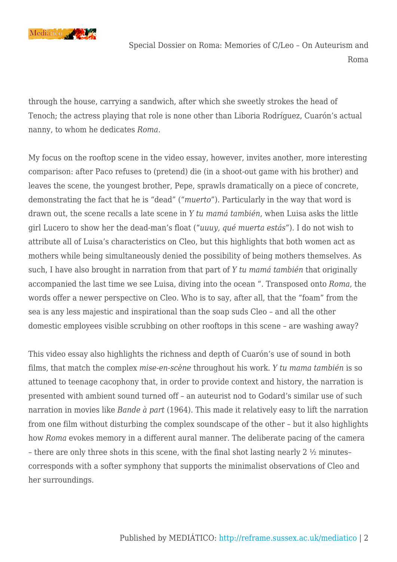

Special Dossier on Roma: Memories of C/Leo – On Auteurism and Roma

through the house, carrying a sandwich, after which she sweetly strokes the head of Tenoch; the actress playing that role is none other than Liboria Rodríguez, Cuarón's actual nanny, to whom he dedicates *Roma*.

My focus on the rooftop scene in the video essay, however, invites another, more interesting comparison: after Paco refuses to (pretend) die (in a shoot-out game with his brother) and leaves the scene, the youngest brother, Pepe, sprawls dramatically on a piece of concrete, demonstrating the fact that he is "dead" ("*muerto*"). Particularly in the way that word is drawn out, the scene recalls a late scene in *Y tu mamá también*, when Luisa asks the little girl Lucero to show her the dead-man's float ("*uuuy, qué muerta estás*"). I do not wish to attribute all of Luisa's characteristics on Cleo, but this highlights that both women act as mothers while being simultaneously denied the possibility of being mothers themselves. As such, I have also brought in narration from that part of *Y tu mamá también* that originally accompanied the last time we see Luisa, diving into the ocean ". Transposed onto *Roma*, the words offer a newer perspective on Cleo. Who is to say, after all, that the "foam" from the sea is any less majestic and inspirational than the soap suds Cleo – and all the other domestic employees visible scrubbing on other rooftops in this scene – are washing away?

This video essay also highlights the richness and depth of Cuarón's use of sound in both films, that match the complex *mise-en-scène* throughout his work. *Y tu mama también* is so attuned to teenage cacophony that, in order to provide context and history, the narration is presented with ambient sound turned off – an auteurist nod to Godard's similar use of such narration in movies like *Bande à part* (1964). This made it relatively easy to lift the narration from one film without disturbing the complex soundscape of the other – but it also highlights how *Roma* evokes memory in a different aural manner. The deliberate pacing of the camera – there are only three shots in this scene, with the final shot lasting nearly 2 ½ minutes– corresponds with a softer symphony that supports the minimalist observations of Cleo and her surroundings.